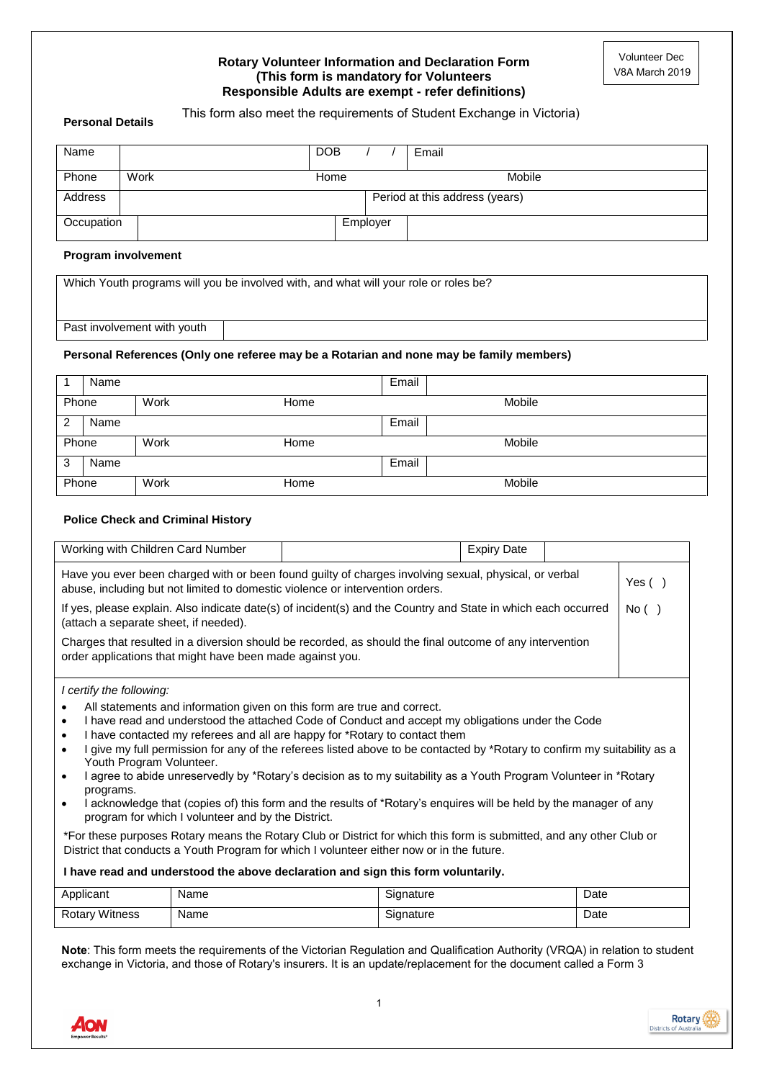#### **Rotary Volunteer Information and Declaration Form (This form is mandatory for Volunteers Responsible Adults are exempt - refer definitions)**

#### **Personal Details**

| Name       |                                | <b>DOB</b> |          | Email  |
|------------|--------------------------------|------------|----------|--------|
| Phone      | Work                           | Home       |          | Mobile |
| Address    | Period at this address (years) |            |          |        |
| Occupation |                                |            | Employer |        |

#### **Program involvement**

Which Youth programs will you be involved with, and what will your role or roles be?

Past involvement with youth

#### **Personal References (Only one referee may be a Rotarian and none may be family members)**

|       | Name |      |      | Email  |  |
|-------|------|------|------|--------|--|
| Phone |      | Work | Home | Mobile |  |
| 2     | Name |      |      | Email  |  |
| Phone |      | Work | Home | Mobile |  |
| 3     | Name |      |      | Email  |  |
| Phone |      | Work | Home | Mobile |  |

#### **Police Check and Criminal History**

| Working with Children Card Number                                                                                                                                                      |                                                           |                                                                                                                                                                                                                                                                                                                                                                                                                                                                                                                                                                                                                                                                                                                                                                                                                                                                                                                                         | <b>Expiry Date</b> |      |           |
|----------------------------------------------------------------------------------------------------------------------------------------------------------------------------------------|-----------------------------------------------------------|-----------------------------------------------------------------------------------------------------------------------------------------------------------------------------------------------------------------------------------------------------------------------------------------------------------------------------------------------------------------------------------------------------------------------------------------------------------------------------------------------------------------------------------------------------------------------------------------------------------------------------------------------------------------------------------------------------------------------------------------------------------------------------------------------------------------------------------------------------------------------------------------------------------------------------------------|--------------------|------|-----------|
| Have you ever been charged with or been found guilty of charges involving sexual, physical, or verbal<br>abuse, including but not limited to domestic violence or intervention orders. |                                                           |                                                                                                                                                                                                                                                                                                                                                                                                                                                                                                                                                                                                                                                                                                                                                                                                                                                                                                                                         |                    |      | Yes $( )$ |
| (attach a separate sheet, if needed).                                                                                                                                                  |                                                           | If yes, please explain. Also indicate date(s) of incident(s) and the Country and State in which each occurred                                                                                                                                                                                                                                                                                                                                                                                                                                                                                                                                                                                                                                                                                                                                                                                                                           |                    |      | No( )     |
|                                                                                                                                                                                        | order applications that might have been made against you. | Charges that resulted in a diversion should be recorded, as should the final outcome of any intervention                                                                                                                                                                                                                                                                                                                                                                                                                                                                                                                                                                                                                                                                                                                                                                                                                                |                    |      |           |
| I certify the following:<br>$\bullet$<br>$\bullet$<br>$\bullet$<br>Youth Program Volunteer.<br>$\bullet$<br>programs.<br>$\bullet$                                                     | program for which I volunteer and by the District.        | All statements and information given on this form are true and correct.<br>I have read and understood the attached Code of Conduct and accept my obligations under the Code<br>I have contacted my referees and all are happy for *Rotary to contact them<br>I give my full permission for any of the referees listed above to be contacted by *Rotary to confirm my suitability as a<br>I agree to abide unreservedly by *Rotary's decision as to my suitability as a Youth Program Volunteer in *Rotary<br>I acknowledge that (copies of) this form and the results of *Rotary's enquires will be held by the manager of any<br>*For these purposes Rotary means the Rotary Club or District for which this form is submitted, and any other Club or<br>District that conducts a Youth Program for which I volunteer either now or in the future.<br>I have read and understood the above declaration and sign this form voluntarily. |                    |      |           |
| Applicant                                                                                                                                                                              | Name                                                      | Signature                                                                                                                                                                                                                                                                                                                                                                                                                                                                                                                                                                                                                                                                                                                                                                                                                                                                                                                               |                    | Date |           |
| <b>Rotary Witness</b>                                                                                                                                                                  | Name                                                      | Signature                                                                                                                                                                                                                                                                                                                                                                                                                                                                                                                                                                                                                                                                                                                                                                                                                                                                                                                               |                    | Date |           |
|                                                                                                                                                                                        |                                                           | Note: This form mosts the requirements of the Victorian Pequlation and Qualification Authority (VPOA) in relation to student                                                                                                                                                                                                                                                                                                                                                                                                                                                                                                                                                                                                                                                                                                                                                                                                            |                    |      |           |

**Note**: This form meets the requirements of the Victorian Regulation and Qualification Authority (VRQA) in relation to student exchange in Victoria, and those of Rotary's insurers. It is an update/replacement for the document called a Form 3



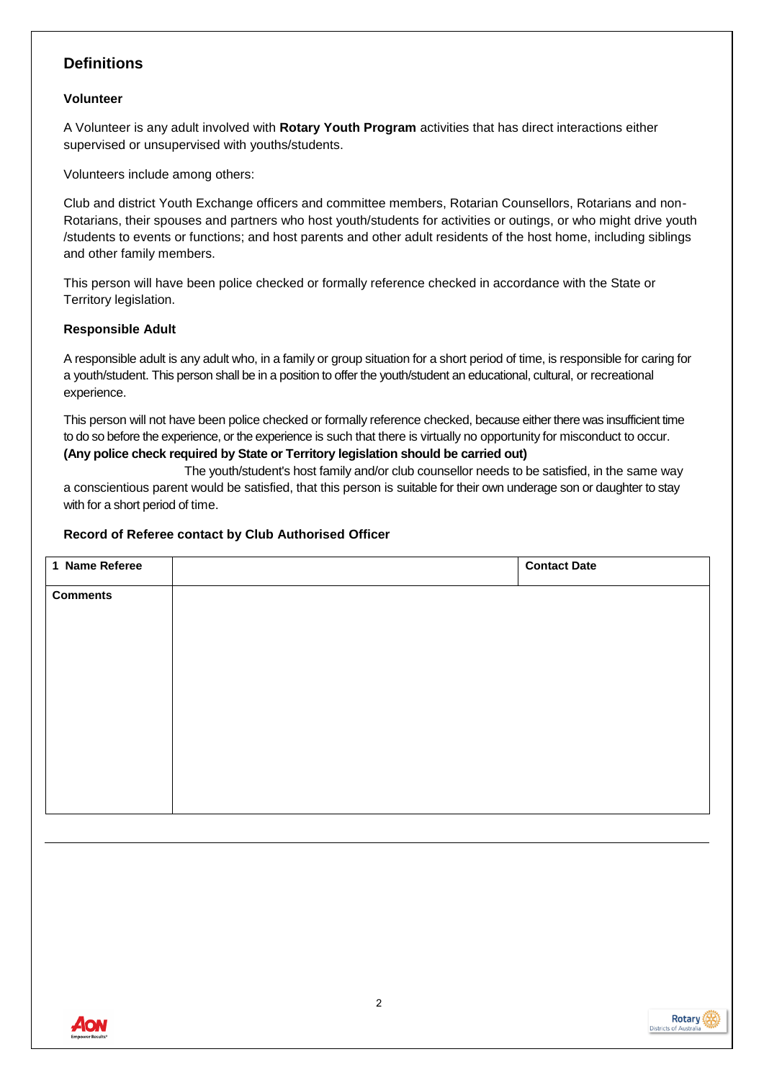# **Definitions**

## **Volunteer**

A Volunteer is any adult involved with **Rotary Youth Program** activities that has direct interactions either supervised or unsupervised with youths/students.

Volunteers include among others:

Club and district Youth Exchange officers and committee members, Rotarian Counsellors, Rotarians and non-Rotarians, their spouses and partners who host youth/students for activities or outings, or who might drive youth /students to events or functions; and host parents and other adult residents of the host home, including siblings and other family members.

This person will have been police checked or formally reference checked in accordance with the State or Territory legislation.

# **Responsible Adult**

A responsible adult is any adult who, in a family or group situation for a short period of time, is responsible for caring for a youth/student. This person shall be in a position to offer the youth/student an educational, cultural, or recreational experience.

This person will not have been police checked or formally reference checked, because either there was insufficient time to do so before the experience, or the experience is such that there is virtually no opportunity for misconduct to occur. **(Any police check required by State or Territory legislation should be carried out)**

 The youth/student's host family and/or club counsellor needs to be satisfied, in the same way a conscientious parent would be satisfied, that this person is suitable for their own underage son or daughter to stay with for a short period of time.

## **Record of Referee contact by Club Authorised Officer**

| 1 Name Referee  | <b>Contact Date</b> |
|-----------------|---------------------|
| <b>Comments</b> |                     |
|                 |                     |
|                 |                     |
|                 |                     |
|                 |                     |
|                 |                     |
|                 |                     |
|                 |                     |
|                 |                     |

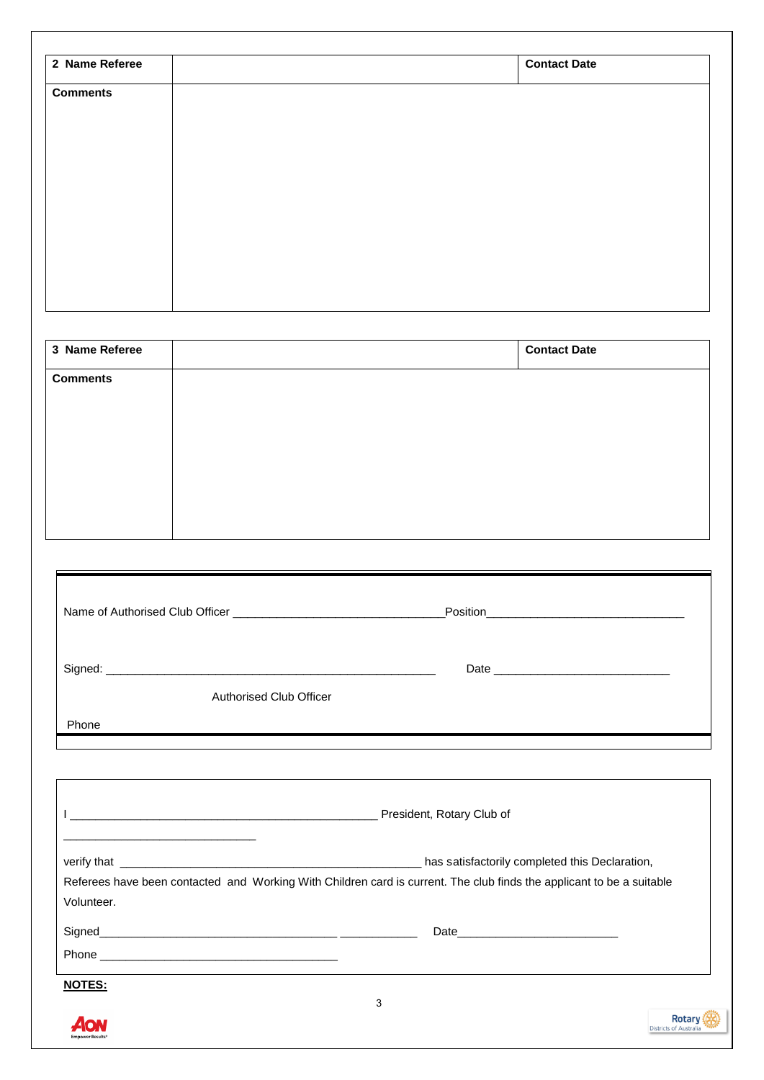| 2 Name Referee                  |                         | <b>Contact Date</b>                                                                                                        |
|---------------------------------|-------------------------|----------------------------------------------------------------------------------------------------------------------------|
| <b>Comments</b>                 |                         |                                                                                                                            |
|                                 |                         |                                                                                                                            |
|                                 |                         |                                                                                                                            |
|                                 |                         |                                                                                                                            |
|                                 |                         |                                                                                                                            |
|                                 |                         |                                                                                                                            |
|                                 |                         |                                                                                                                            |
|                                 |                         |                                                                                                                            |
|                                 |                         |                                                                                                                            |
| 3 Name Referee                  |                         | <b>Contact Date</b>                                                                                                        |
| <b>Comments</b>                 |                         |                                                                                                                            |
|                                 |                         |                                                                                                                            |
|                                 |                         |                                                                                                                            |
|                                 |                         |                                                                                                                            |
|                                 |                         |                                                                                                                            |
|                                 |                         |                                                                                                                            |
|                                 |                         |                                                                                                                            |
| Name of Authorised Club Officer |                         | Position                                                                                                                   |
|                                 |                         |                                                                                                                            |
|                                 |                         |                                                                                                                            |
|                                 | Authorised Club Officer |                                                                                                                            |
|                                 |                         |                                                                                                                            |
| Phone                           |                         |                                                                                                                            |
|                                 |                         |                                                                                                                            |
|                                 |                         |                                                                                                                            |
|                                 |                         |                                                                                                                            |
|                                 |                         |                                                                                                                            |
| Volunteer.                      |                         | Referees have been contacted and Working With Children card is current. The club finds the applicant to be a suitable      |
|                                 |                         |                                                                                                                            |
|                                 |                         |                                                                                                                            |
| <b>NOTES:</b>                   |                         | <u>and the state of the state of the state of the state of the state of the state of the state of the state of th</u><br>3 |